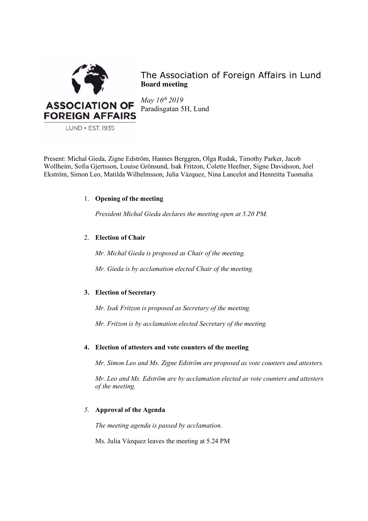

The Association of Foreign Affairs in Lund **Board meeting**

*May 16th 2019* Paradisgatan 5H, Lund

Present: Michal Gieda, Zigne Edström, Hannes Berggren, Olga Rudak, Timothy Parker, Jacob Wollheim, Sofia Gjertsson, Louise Grönsund, Isak Fritzon, Colette Heefner, Signe Davidsson, Joel Ekström, Simon Leo, Matilda Wilhelmsson, Julia Vázquez, Nina Lancelot and Henreitta Tuomalia

# 1. **Opening of the meeting**

*President Michal Gieda declares the meeting open at 5.20 PM.*

# 2. **Election of Chair**

*Mr. Michal Gieda is proposed as Chair of the meeting.* 

*Mr. Gieda is by acclamation elected Chair of the meeting.*

# **3. Election of Secretary**

*Mr. Isak Fritzon is proposed as Secretary of the meeting.*

*Mr. Fritzon is by acclamation elected Secretary of the meeting.*

# **4. Election of attesters and vote counters of the meeting**

*Mr. Simon Leo and Ms. Zigne Edström are proposed as vote counters and attesters.* 

*Mr. Leo and Ms. Edström are by acclamation elected as vote counters and attesters of the meeting.* 

# *5.* **Approval of the Agenda**

*The meeting agenda is passed by acclamation.* 

Ms. Julia Vázquez leaves the meeting at 5.24 PM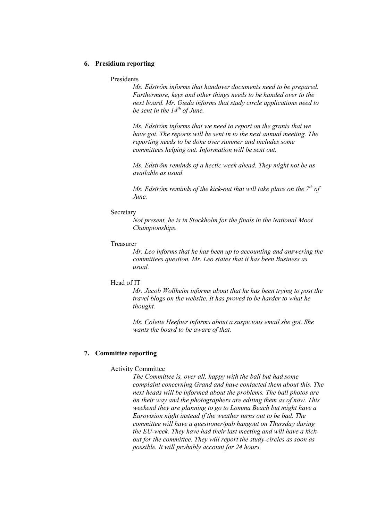## **6. Presidium reporting**

Presidents

*Ms. Edström informs that handover documents need to be prepared. Furthermore, keys and other things needs to be handed over to the next board. Mr. Gieda informs that study circle applications need to be sent in the 14th of June.* 

*Ms. Edström informs that we need to report on the grants that we have got. The reports will be sent in to the next annual meeting. The reporting needs to be done over summer and includes some committees helping out. Information will be sent out.* 

*Ms. Edström reminds of a hectic week ahead. They might not be as available as usual.* 

*Ms. Edström reminds of the kick-out that will take place on the 7th of June.*

#### **Secretary**

*Not present, he is in Stockholm for the finals in the National Moot Championships.* 

#### Treasurer

*Mr. Leo informs that he has been up to accounting and answering the committees question. Mr. Leo states that it has been Business as usual.*

## Head of IT

*Mr. Jacob Wollheim informs about that he has been trying to post the travel blogs on the website. It has proved to be harder to what he thought.*

*Ms. Colette Heefner informs about a suspicious email she got. She wants the board to be aware of that.* 

## **7. Committee reporting**

# Activity Committee

*The Committee is, over all, happy with the ball but had some complaint concerning Grand and have contacted them about this. The next heads will be informed about the problems. The ball photos are on their way and the photographers are editing them as of now. This weekend they are planning to go to Lomma Beach but might have a Eurovision night instead if the weather turns out to be bad. The committee will have a questioner/pub hangout on Thursday during the EU-week. They have had their last meeting and will have a kickout for the committee. They will report the study-circles as soon as possible. It will probably account for 24 hours.*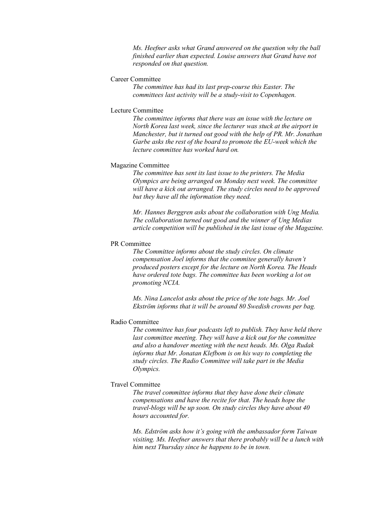*Ms. Heefner asks what Grand answered on the question why the ball finished earlier than expected. Louise answers that Grand have not responded on that question.*

# Career Committee

*The committee has had its last prep-course this Easter. The committees last activity will be a study-visit to Copenhagen.* 

#### Lecture Committee

*The committee informs that there was an issue with the lecture on North Korea last week, since the lecturer was stuck at the airport in Manchester, but it turned out good with the help of PR. Mr. Jonathan Garbe asks the rest of the board to promote the EU-week which the lecture committee has worked hard on.* 

#### Magazine Committee

*The committee has sent its last issue to the printers. The Media Olympics are being arranged on Monday next week. The committee will have a kick out arranged. The study circles need to be approved but they have all the information they need.* 

*Mr. Hannes Berggren asks about the collaboration with Ung Media. The collaboration turned out good and the winner of Ung Medias article competition will be published in the last issue of the Magazine.*

## PR Committee

*The Committee informs about the study circles. On climate compensation Joel informs that the commitee generally haven't produced posters except for the lecture on North Korea. The Heads have ordered tote bags. The committee has been working a lot on promoting NCIA.* 

*Ms. Nina Lancelot asks about the price of the tote bags. Mr. Joel Ekström informs that it will be around 80 Swedish crowns per bag.* 

# Radio Committee

*The committee has four podcasts left to publish. They have held there last committee meeting. They will have a kick out for the committee and also a handover meeting with the next heads. Ms. Olga Rudak informs that Mr. Jonatan Klefbom is on his way to completing the study circles. The Radio Committee will take part in the Media Olympics.* 

# Travel Committee

*The travel committee informs that they have done their climate compensations and have the recite for that. The heads hope the travel-blogs will be up soon. On study circles they have about 40 hours accounted for.* 

*Ms. Edström asks how it's going with the ambassador form Taiwan visiting. Ms. Heefner answers that there probably will be a lunch with him next Thursday since he happens to be in town.*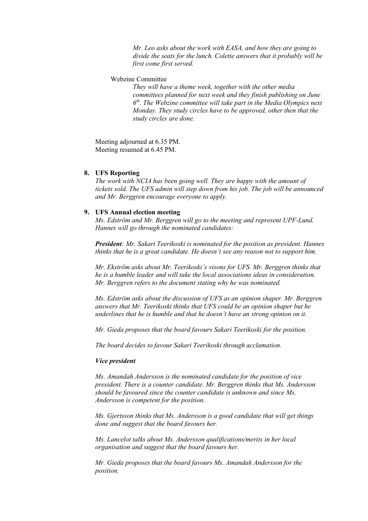*Mr. Leo asks about the work with EASA, and how they are going to divide the seats for the lunch. Colette answers that it probably will be first come first served.*

Webzine Committee

*They will have a theme week, together with the other media committees planned for next week and they finish publishing on June 6th. The Webzine committee will take part in the Media Olympics next Monday. They study circles have to be approved, other then that the study circles are done.* 

Meeting adjourned at 6.35 PM. Meeting resumed at 6.45 PM.

# **8. UFS Reporting**

*The work with NCIA has been going well. They are happy with the amount of tickets sold. The UFS admin will step down from his job. The job will be announced and Mr. Berggren encourage everyone to apply.*

## **9. UFS Annual election meeting**

*Ms. Edström and Mr. Berggren will go to the meeting and represent UPF-Lund. Hannes will go through the nominated candidates:* 

*President: Mr. Sakari Teerikoski is nominated for the position as president. Hannes thinks that he is a great candidate. He doesn't see any reason not to support him.*

*Mr. Ekström asks about Mr. Teerikoski's visons for UFS. Mr. Berggren thinks that he is a humble leader and will take the local associations ideas in consideration. Mr. Berggren refers to the document stating why he was nominated.*

*Ms. Edström asks about the discussion of UFS as an opinion shaper. Mr. Berggren answers that Mr. Teerikoski thinks that UFS could be an opinion shaper but he underlines that he is humble and that he doesn't have an strong opinion on it.* 

*Mr. Gieda proposes that the board favours Sakari Teerikoski for the position.* 

*The board decides to favour Sakari Teerikoski through acclamation.* 

#### *Vice president*

*Ms. Amandah Andersson is the nominated candidate for the position of vice president. There is a counter candidate. Mr. Berggren thinks that Ms. Andersson should be favoured since the counter candidate is unknown and since Ms. Andersson is competent for the position.* 

*Ms. Gjertsson thinks that Ms. Andersson is a good candidate that will get things done and suggest that the board favours her.*

*Ms. Lancelot talks about Ms. Andersson qualifications/merits in her local organisation and suggest that the board favours her.*

*Mr. Gieda proposes that the board favours Ms. Amandah Andersson for the position.*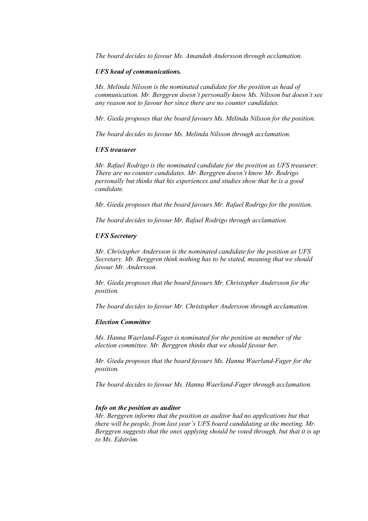*The board decides to favour Ms. Amandah Andersson through acclamation.* 

### *UFS head of communications.*

*Ms. Melinda Nilsson is the nominated candidate for the position as head of communication. Mr. Berggren doesn't personally know Ms. Nilsson but doesn't see any reason not to favour her since there are no counter candidates.* 

*Mr. Gieda proposes that the board favours Ms. Melinda Nilsson for the position.* 

*The board decides to favour Ms. Melinda Nilsson through acclamation.* 

## *UFS treasurer*

*Mr. Rafael Rodrigo is the nominated candidate for the position as UFS treasurer. There are no counter candidates. Mr. Berggren doesn't know Mr. Rodrigo personally but thinks that his experiences and studies show that he is a good candidate.* 

*Mr. Gieda proposes that the board favours Mr. Rafael Rodrigo for the position.* 

*The board decides to favour Mr. Rafael Rodrigo through acclamation.* 

### *UFS Secretary*

*Mr. Christopher Andersson is the nominated candidate for the position as UFS Secretary. Mr. Berggren think nothing has to be stated, meaning that we should favour Mr. Andersson.*

*Mr. Gieda proposes that the board favours Mr. Christopher Andersson for the position.* 

*The board decides to favour Mr. Christopher Andersson through acclamation.* 

## *Election Committee*

*Ms. Hanna Waerland-Fager is nominated for the position as member of the election committee. Mr. Berggren thinks that we should favour her.*

*Mr. Gieda proposes that the board favours Ms. Hanna Waerland-Fager for the position.*

*The board decides to favour Ms. Hanna Waerland-Fager through acclamation.* 

#### *Info on the position as auditor*

*Mr. Berggren informs that the position as auditor had no applications but that there will be people, from last year's UFS board candidating at the meeting. Mr. Berggren suggests that the ones applying should be voted through, but that it is up to Ms. Edström.*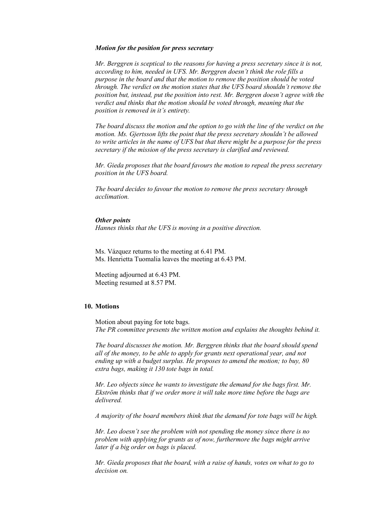#### *Motion for the position for press secretary*

*Mr. Berggren is sceptical to the reasons for having a press secretary since it is not, according to him, needed in UFS. Mr. Berggren doesn't think the role fills a purpose in the board and that the motion to remove the position should be voted through. The verdict on the motion states that the UFS board shouldn't remove the position but, instead, put the position into rest. Mr. Berggren doesn't agree with the verdict and thinks that the motion should be voted through, meaning that the position is removed in it's entirety.* 

*The board discuss the motion and the option to go with the line of the verdict on the motion. Ms. Gjertsson lifts the point that the press secretary shouldn't be allowed to write articles in the name of UFS but that there might be a purpose for the press secretary if the mission of the press secretary is clarified and reviewed.* 

*Mr. Gieda proposes that the board favours the motion to repeal the press secretary position in the UFS board.* 

*The board decides to favour the motion to remove the press secretary through acclimation.* 

#### *Other points*

*Hannes thinks that the UFS is moving in a positive direction.* 

Ms. Vázquez returns to the meeting at 6.41 PM. Ms. Henrietta Tuomalia leaves the meeting at 6.43 PM.

Meeting adjourned at 6.43 PM. Meeting resumed at 8.57 PM.

# **10. Motions**

Motion about paying for tote bags. *The PR committee presents the written motion and explains the thoughts behind it.* 

*The board discusses the motion. Mr. Berggren thinks that the board should spend all of the money, to be able to apply for grants next operational year, and not ending up with a budget surplus. He proposes to amend the motion; to buy, 80 extra bags, making it 130 tote bags in total.* 

*Mr. Leo objects since he wants to investigate the demand for the bags first. Mr. Ekström thinks that if we order more it will take more time before the bags are delivered.*

*A majority of the board members think that the demand for tote bags will be high.*

*Mr. Leo doesn't see the problem with not spending the money since there is no problem with applying for grants as of now, furthermore the bags might arrive later if a big order on bags is placed.* 

*Mr. Gieda proposes that the board, with a raise of hands, votes on what to go to decision on.*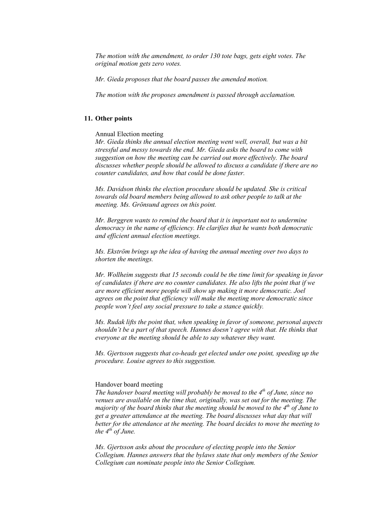*The motion with the amendment, to order 130 tote bags, gets eight votes. The original motion gets zero votes.* 

*Mr. Gieda proposes that the board passes the amended motion.* 

*The motion with the proposes amendment is passed through acclamation.* 

# **11. Other points**

Annual Election meeting

*Mr. Gieda thinks the annual election meeting went well, overall, but was a bit stressful and messy towards the end. Mr. Gieda asks the board to come with suggestion on how the meeting can be carried out more effectively. The board discusses whether people should be allowed to discuss a candidate if there are no counter candidates, and how that could be done faster.* 

*Ms. Davidson thinks the election procedure should be updated. She is critical towards old board members being allowed to ask other people to talk at the meeting. Ms. Grönsund agrees on this point.* 

*Mr. Berggren wants to remind the board that it is important not to undermine democracy in the name of efficiency. He clarifies that he wants both democratic and efficient annual election meetings.* 

*Ms. Ekström brings up the idea of having the annual meeting over two days to shorten the meetings.* 

*Mr. Wollheim suggests that 15 seconds could be the time limit for speaking in favor of candidates if there are no counter candidates. He also lifts the point that if we are more efficient more people will show up making it more democratic. Joel agrees on the point that efficiency will make the meeting more democratic since people won't feel any social pressure to take a stance quickly.* 

*Ms. Rudak lifts the point that, when speaking in favor of someone, personal aspects shouldn't be a part of that speech. Hannes doesn't agree with that. He thinks that everyone at the meeting should be able to say whatever they want.*

*Ms. Gjertsson suggests that co-heads get elected under one point, speeding up the procedure. Louise agrees to this suggestion.* 

### Handover board meeting

*The handover board meeting will probably be moved to the 4th of June, since no venues are available on the time that, originally, was set out for the meeting. The majority of the board thinks that the meeting should be moved to the 4<sup>th</sup> of June to get a greater attendance at the meeting. The board discusses what day that will better for the attendance at the meeting. The board decides to move the meeting to the 4th of June.* 

*Ms. Gjertsson asks about the procedure of electing people into the Senior Collegium. Hannes answers that the bylaws state that only members of the Senior Collegium can nominate people into the Senior Collegium.*